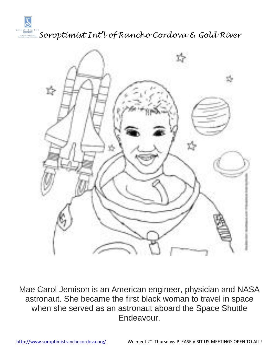

*Soroptimist Int'l of Rancho Cordova & Gold River*



Mae Carol Jemison is an American engineer, physician and NASA astronaut. She became the first black woman to travel in space when she served as an astronaut aboard the Space Shuttle Endeavour.